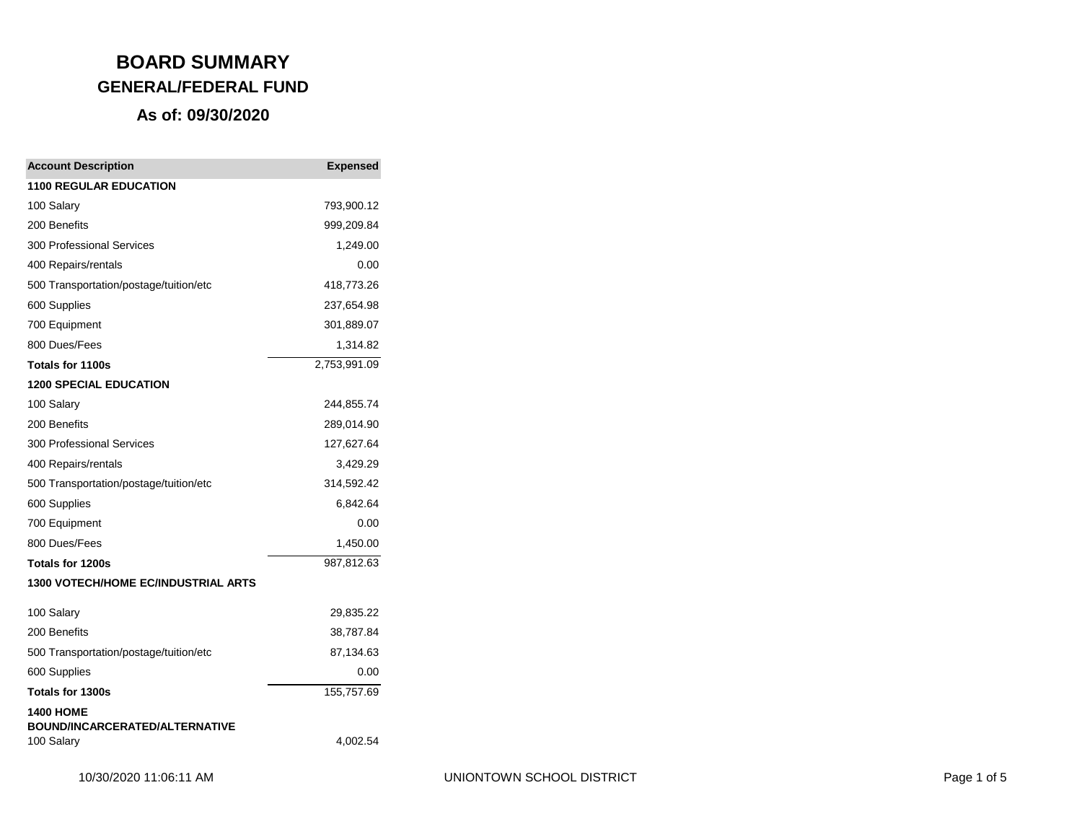| <b>Account Description</b>                          | <b>Expensed</b> |
|-----------------------------------------------------|-----------------|
| <b>1100 REGULAR EDUCATION</b>                       |                 |
| 100 Salary                                          | 793,900.12      |
| 200 Benefits                                        | 999,209.84      |
| <b>300 Professional Services</b>                    | 1,249.00        |
| 400 Repairs/rentals                                 | 0.00            |
| 500 Transportation/postage/tuition/etc              | 418,773.26      |
| 600 Supplies                                        | 237,654.98      |
| 700 Equipment                                       | 301,889.07      |
| 800 Dues/Fees                                       | 1,314.82        |
| Totals for 1100s                                    | 2,753,991.09    |
| <b>1200 SPECIAL EDUCATION</b>                       |                 |
| 100 Salary                                          | 244,855.74      |
| 200 Benefits                                        | 289,014.90      |
| 300 Professional Services                           | 127,627.64      |
| 400 Repairs/rentals                                 | 3,429.29        |
| 500 Transportation/postage/tuition/etc              | 314,592.42      |
| 600 Supplies                                        | 6,842.64        |
| 700 Equipment                                       | 0.00            |
| 800 Dues/Fees                                       | 1,450.00        |
| Totals for 1200s                                    | 987,812.63      |
| 1300 VOTECH/HOME EC/INDUSTRIAL ARTS                 |                 |
| 100 Salary                                          | 29,835.22       |
| 200 Benefits                                        | 38,787.84       |
| 500 Transportation/postage/tuition/etc              | 87,134.63       |
| 600 Supplies                                        | 0.00            |
| Totals for 1300s                                    | 155,757.69      |
| <b>1400 HOME</b>                                    |                 |
| <b>BOUND/INCARCERATED/ALTERNATIVE</b><br>100 Salary | 4,002.54        |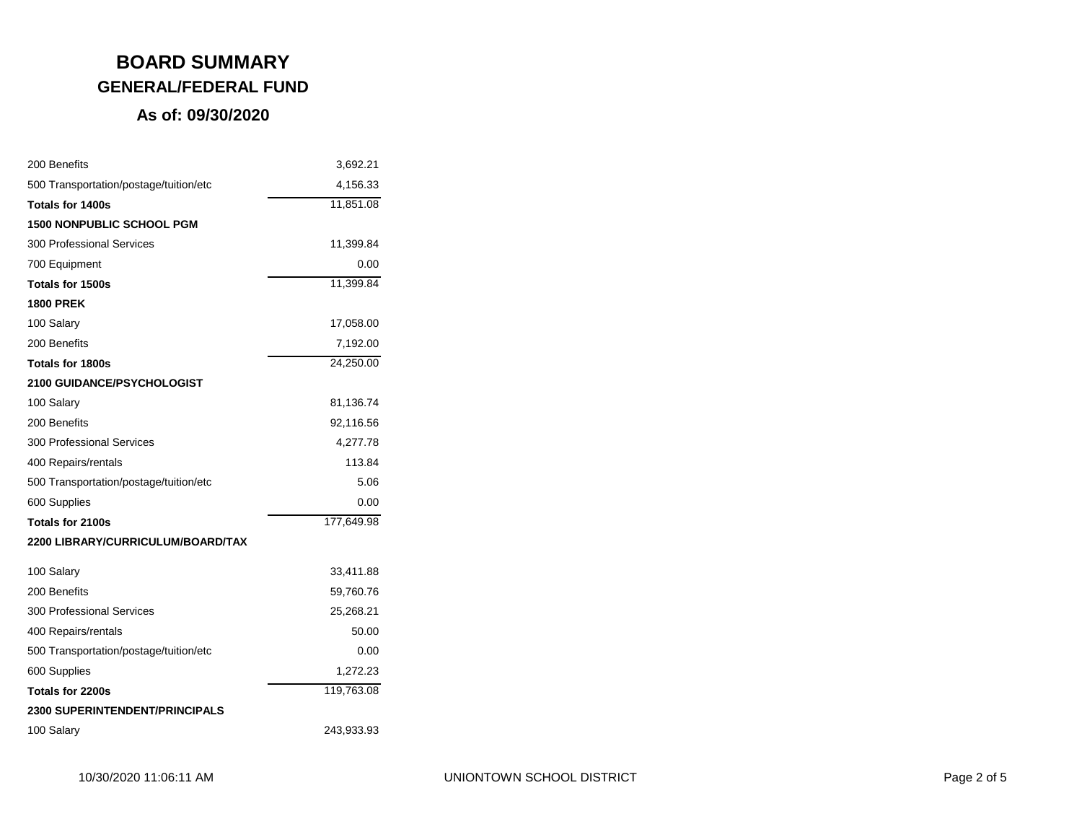| 200 Benefits                           | 3,692.21   |
|----------------------------------------|------------|
| 500 Transportation/postage/tuition/etc | 4,156.33   |
| Totals for 1400s                       | 11,851.08  |
| 1500 NONPUBLIC SCHOOL PGM              |            |
| <b>300 Professional Services</b>       | 11,399.84  |
| 700 Equipment                          | 0.00       |
| Totals for 1500s                       | 11,399.84  |
| <b>1800 PREK</b>                       |            |
| 100 Salary                             | 17,058.00  |
| 200 Benefits                           | 7,192.00   |
| Totals for 1800s                       | 24,250.00  |
| <b>2100 GUIDANCE/PSYCHOLOGIST</b>      |            |
| 100 Salary                             | 81,136.74  |
| 200 Benefits                           | 92,116.56  |
| <b>300 Professional Services</b>       | 4,277.78   |
| 400 Repairs/rentals                    | 113.84     |
| 500 Transportation/postage/tuition/etc | 5.06       |
| 600 Supplies                           | 0.00       |
| Totals for 2100s                       | 177,649.98 |
| 2200 LIBRARY/CURRICULUM/BOARD/TAX      |            |
| 100 Salary                             | 33,411.88  |
| 200 Benefits                           | 59,760.76  |
| <b>300 Professional Services</b>       | 25,268.21  |
| 400 Repairs/rentals                    | 50.00      |
| 500 Transportation/postage/tuition/etc | 0.00       |
| 600 Supplies                           | 1,272.23   |
| Totals for 2200s                       | 119,763.08 |
| <b>2300 SUPERINTENDENT/PRINCIPALS</b>  |            |
| 100 Salary                             | 243,933.93 |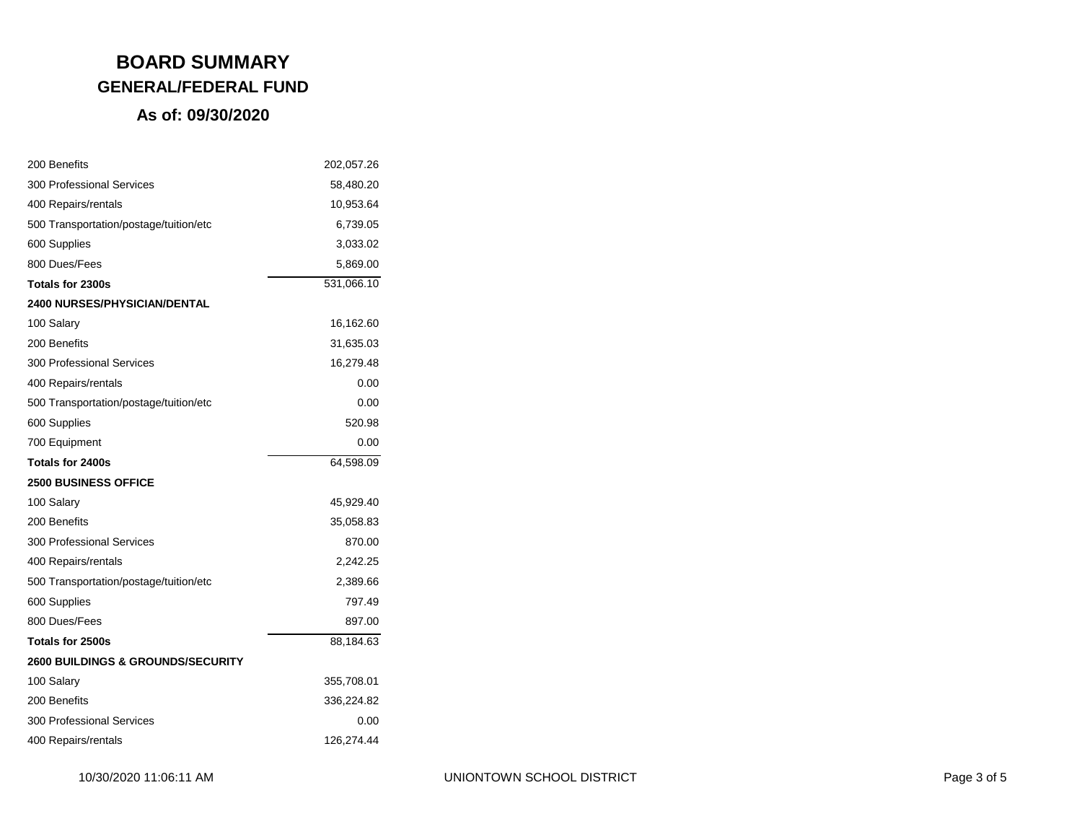| 200 Benefits                                 | 202,057.26 |
|----------------------------------------------|------------|
| <b>300 Professional Services</b>             | 58,480.20  |
| 400 Repairs/rentals                          | 10,953.64  |
| 500 Transportation/postage/tuition/etc       | 6,739.05   |
| 600 Supplies                                 | 3,033.02   |
| 800 Dues/Fees                                | 5,869.00   |
| Totals for 2300s                             | 531,066.10 |
| <b>2400 NURSES/PHYSICIAN/DENTAL</b>          |            |
| 100 Salary                                   | 16,162.60  |
| 200 Benefits                                 | 31,635.03  |
| <b>300 Professional Services</b>             | 16,279.48  |
| 400 Repairs/rentals                          | 0.00       |
| 500 Transportation/postage/tuition/etc       | 0.00       |
| 600 Supplies                                 | 520.98     |
| 700 Equipment                                | 0.00       |
| Totals for 2400s                             | 64,598.09  |
| <b>2500 BUSINESS OFFICE</b>                  |            |
| 100 Salary                                   | 45,929.40  |
| 200 Benefits                                 | 35,058.83  |
| <b>300 Professional Services</b>             | 870.00     |
| 400 Repairs/rentals                          | 2,242.25   |
| 500 Transportation/postage/tuition/etc       | 2,389.66   |
| 600 Supplies                                 | 797.49     |
| 800 Dues/Fees                                | 897.00     |
| Totals for 2500s                             | 88,184.63  |
| <b>2600 BUILDINGS &amp; GROUNDS/SECURITY</b> |            |
| 100 Salary                                   | 355,708.01 |
| 200 Benefits                                 | 336,224.82 |
| <b>300 Professional Services</b>             | 0.00       |
| 400 Repairs/rentals                          | 126,274.44 |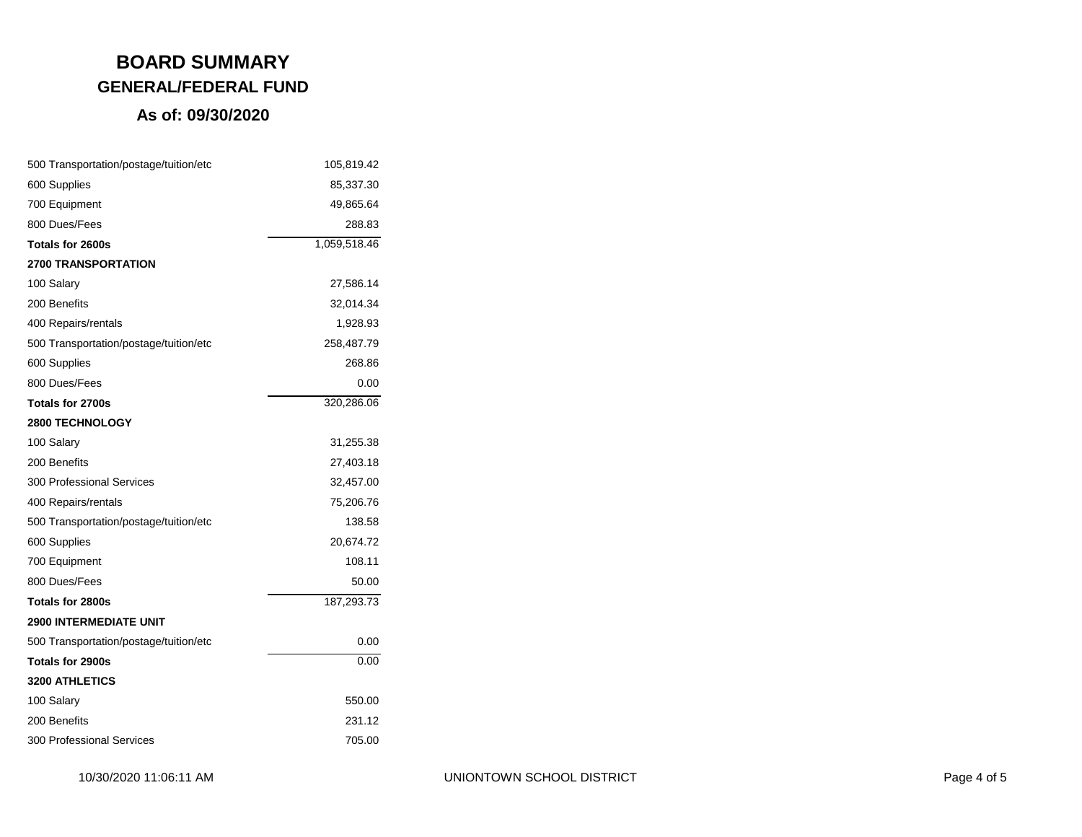| 500 Transportation/postage/tuition/etc | 105,819.42   |
|----------------------------------------|--------------|
| 600 Supplies                           | 85,337.30    |
| 700 Equipment                          | 49,865.64    |
| 800 Dues/Fees                          | 288.83       |
| Totals for 2600s                       | 1,059,518.46 |
| <b>2700 TRANSPORTATION</b>             |              |
| 100 Salary                             | 27,586.14    |
| 200 Benefits                           | 32,014.34    |
| 400 Repairs/rentals                    | 1,928.93     |
| 500 Transportation/postage/tuition/etc | 258,487.79   |
| 600 Supplies                           | 268.86       |
| 800 Dues/Fees                          | 0.00         |
| Totals for 2700s                       | 320,286.06   |
| <b>2800 TECHNOLOGY</b>                 |              |
| 100 Salary                             | 31,255.38    |
| 200 Benefits                           | 27,403.18    |
| 300 Professional Services              | 32,457.00    |
| 400 Repairs/rentals                    | 75,206.76    |
| 500 Transportation/postage/tuition/etc | 138.58       |
| 600 Supplies                           | 20,674.72    |
| 700 Equipment                          | 108.11       |
| 800 Dues/Fees                          | 50.00        |
| Totals for 2800s                       | 187,293.73   |
| <b>2900 INTERMEDIATE UNIT</b>          |              |
| 500 Transportation/postage/tuition/etc | 0.00         |
| Totals for 2900s                       | 0.00         |
| 3200 ATHLETICS                         |              |
| 100 Salary                             | 550.00       |
| 200 Benefits                           | 231.12       |
| <b>300 Professional Services</b>       | 705.00       |